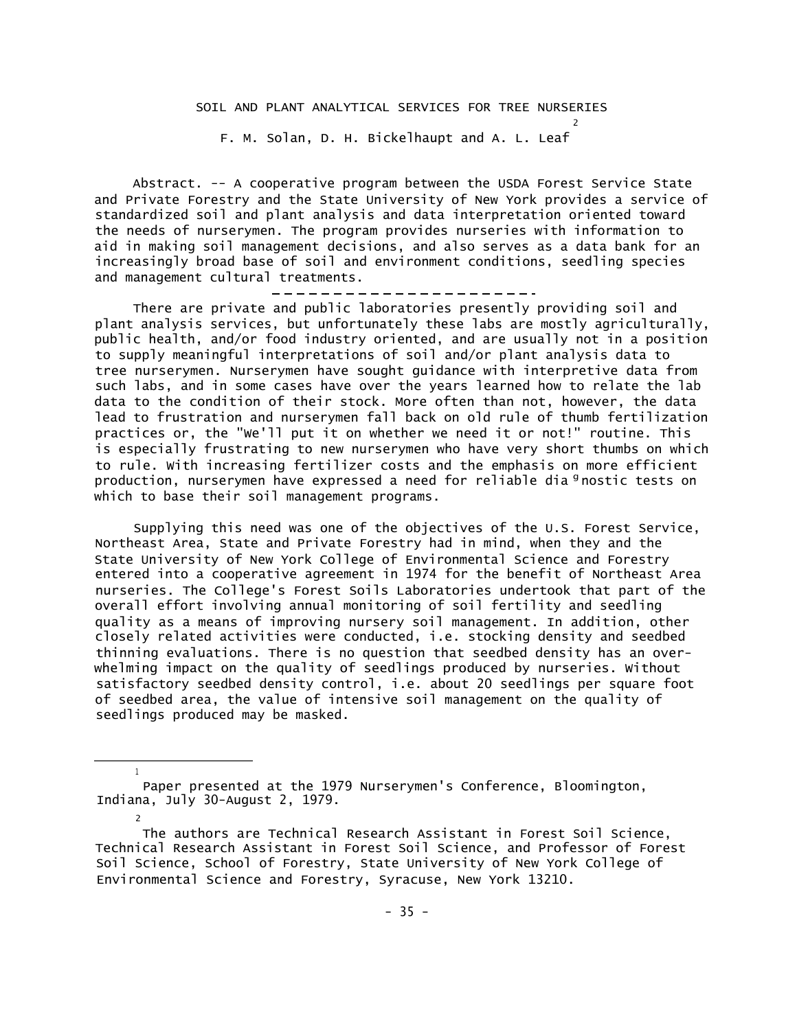2

F. M. Solan, D. H. Bickelhaupt and A. L. Leaf

Abstract. -- A cooperative program between the USDA Forest Service State and Private Forestry and the State University of New York provides a service of standardized soil and plant analysis and data interpretation oriented toward the needs of nurserymen. The program provides nurseries with information to aid in making soil management decisions, and also serves as a data bank for an increasingly broad base of soil and environment conditions, seedling species and management cultural treatments.

There are private and public laboratories presently providing soil and plant analysis services, but unfortunately these labs are mostly agriculturally, public health, and/or food industry oriented, and are usually not in a position to supply meaningful interpretations of soil and/or plant analysis data to tree nurserymen. Nurserymen have sought guidance with interpretive data from such labs, and in some cases have over the years learned how to relate the lab data to the condition of their stock. More often than not, however, the data lead to frustration and nurserymen fall back on old rule of thumb fertilization practices or, the "We'll put it on whether we need it or not!" routine. This is especially frustrating to new nurserymen who have very short thumbs on which to rule. With increasing fertilizer costs and the emphasis on more efficient production, nurserymen have expressed a need for reliable dia <sup>g</sup>nostic tests on which to base their soil management programs.

Supplying this need was one of the objectives of the U.S. Forest Service, Northeast Area, State and Private Forestry had in mind, when they and the State University of New York College of Environmental Science and Forestry entered into a cooperative agreement in 1974 for the benefit of Northeast Area nurseries. The College's Forest Soils Laboratories undertook that part of the overall effort involving annual monitoring of soil fertility and seedling quality as a means of improving nursery soil management. In addition, other closely related activities were conducted, i.e. stocking density and seedbed thinning evaluations. There is no question that seedbed density has an overwhelming impact on the quality of seedlings produced by nurseries. Without satisfactory seedbed density control, i.e. about 20 seedlings per square foot of seedbed area, the value of intensive soil management on the quality of seedlings produced may be masked.

1

2

The authors are Technical Research Assistant in Forest Soil Science, Technical Research Assistant in Forest Soil Science, and Professor of Forest Soil Science, School of Forestry, State University of New York College of Environmental Science and Forestry, Syracuse, New York 13210.

Paper presented at the 1979 Nurserymen's Conference, Bloomington, Indiana, July 30-August 2, 1979.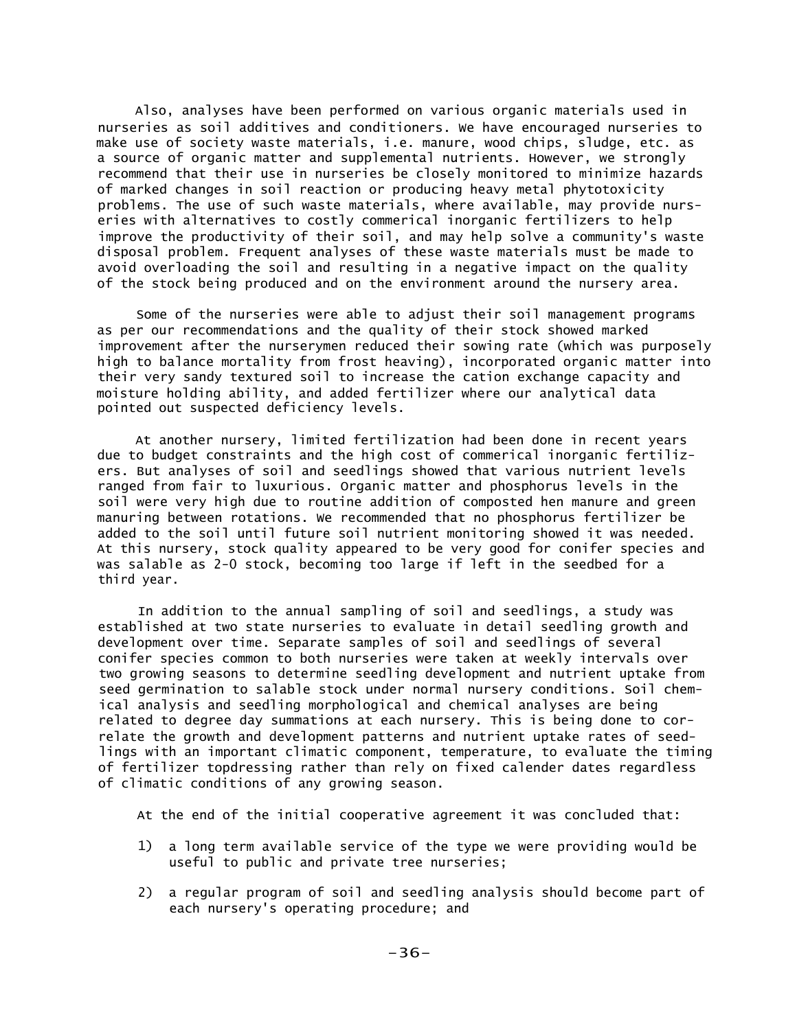Also, analyses have been performed on various organic materials used in nurseries as soil additives and conditioners. We have encouraged nurseries to make use of society waste materials, i.e. manure, wood chips, sludge, etc. as a source of organic matter and supplemental nutrients. However, we strongly recommend that their use in nurseries be closely monitored to minimize hazards of marked changes in soil reaction or producing heavy metal phytotoxicity problems. The use of such waste materials, where available, may provide nurseries with alternatives to costly commerical inorganic fertilizers to help improve the productivity of their soil, and may help solve a community's waste disposal problem. Frequent analyses of these waste materials must be made to avoid overloading the soil and resulting in a negative impact on the quality of the stock being produced and on the environment around the nursery area.

Some of the nurseries were able to adjust their soil management programs as per our recommendations and the quality of their stock showed marked improvement after the nurserymen reduced their sowing rate (which was purposely high to balance mortality from frost heaving), incorporated organic matter into their very sandy textured soil to increase the cation exchange capacity and moisture holding ability, and added fertilizer where our analytical data pointed out suspected deficiency levels.

At another nursery, limited fertilization had been done in recent years due to budget constraints and the high cost of commerical inorganic fertilizers. But analyses of soil and seedlings showed that various nutrient levels ranged from fair to luxurious. Organic matter and phosphorus levels in the soil were very high due to routine addition of composted hen manure and green manuring between rotations. We recommended that no phosphorus fertilizer be added to the soil until future soil nutrient monitoring showed it was needed. At this nursery, stock quality appeared to be very good for conifer species and was salable as 2-0 stock, becoming too large if left in the seedbed for a third year.

In addition to the annual sampling of soil and seedlings, a study was established at two state nurseries to evaluate in detail seedling growth and development over time. Separate samples of soil and seedlings of several conifer species common to both nurseries were taken at weekly intervals over two growing seasons to determine seedling development and nutrient uptake from seed germination to salable stock under normal nursery conditions. Soil chemical analysis and seedling morphological and chemical analyses are being related to degree day summations at each nursery. This is being done to correlate the growth and development patterns and nutrient uptake rates of seedlings with an important climatic component, temperature, to evaluate the timing of fertilizer topdressing rather than rely on fixed calender dates regardless of climatic conditions of any growing season.

At the end of the initial cooperative agreement it was concluded that:

- 1) a long term available service of the type we were providing would be useful to public and private tree nurseries;
- 2) a regular program of soil and seedling analysis should become part of each nursery's operating procedure; and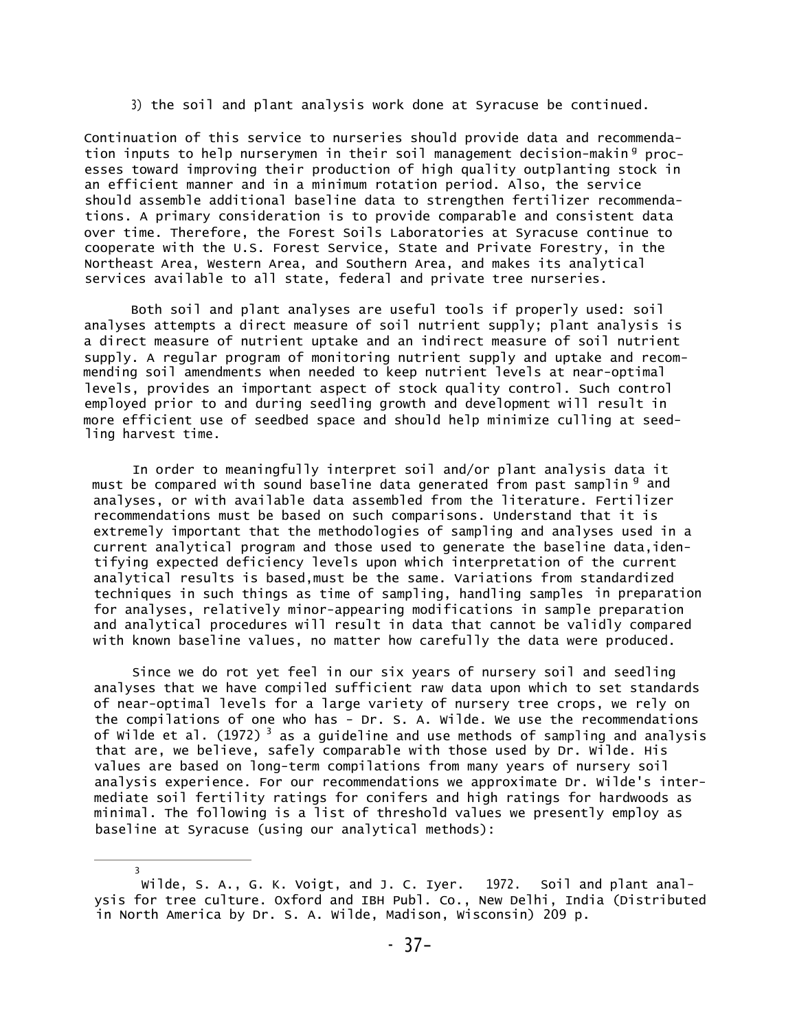3) the soil and plant analysis work done at Syracuse be continued.

Continuation of this service to nurseries should provide data and recommendation inputs to help nurserymen in their soil management decision-makin<sup>g</sup> processes toward improving their production of high quality outplanting stock in an efficient manner and in a minimum rotation period. Also, the service should assemble additional baseline data to strengthen fertilizer recommendations. A primary consideration is to provide comparable and consistent data over time. Therefore, the Forest Soils Laboratories at Syracuse continue to cooperate with the U.S. Forest Service, State and Private Forestry, in the Northeast Area, Western Area, and Southern Area, and makes its analytical services available to all state, federal and private tree nurseries.

Both soil and plant analyses are useful tools if properly used: soil analyses attempts a direct measure of soil nutrient supply; plant analysis is a direct measure of nutrient uptake and an indirect measure of soil nutrient supply. A regular program of monitoring nutrient supply and uptake and recommending soil amendments when needed to keep nutrient levels at near-optimal levels, provides an important aspect of stock quality control. Such control employed prior to and during seedling growth and development will result in more efficient use of seedbed space and should help minimize culling at seedling harvest time.

In order to meaningfully interpret soil and/or plant analysis data it must be compared with sound baseline data generated from past samplin <sup>g</sup> and analyses, or with available data assembled from the literature. Fertilizer recommendations must be based on such comparisons. Understand that it is extremely important that the methodologies of sampling and analyses used in a current analytical program and those used to generate the baseline data,identifying expected deficiency levels upon which interpretation of the current analytical results is based,must be the same. Variations from standardized techniques in such things as time of sampling, handling samples in preparation for analyses, relatively minor-appearing modifications in sample preparation and analytical procedures will result in data that cannot be validly compared with known baseline values, no matter how carefully the data were produced.

Since we do rot yet feel in our six years of nursery soil and seedling analyses that we have compiled sufficient raw data upon which to set standards of near-optimal levels for a large variety of nursery tree crops, we rely on the compilations of one who has - Dr. S. A. Wilde. We use the recommendations of Wilde et al. (1972) <sup>3</sup> as a guideline and use methods of sampling and analysis that are, we believe, safely comparable with those used by Dr. Wilde. His values are based on long-term compilations from many years of nursery soil analysis experience. For our recommendations we approximate Dr. Wilde's intermediate soil fertility ratings for conifers and high ratings for hardwoods as minimal. The following is a list of threshold values we presently employ as baseline at Syracuse (using our analytical methods):

3

Wilde, S. A., G. K. Voigt, and J. C. Iyer. 1972. Soil and plant analysis for tree culture. Oxford and IBH Publ. Co., New Delhi, India (Distributed in North America by Dr. S. A. Wilde, Madison, Wisconsin) 209 p.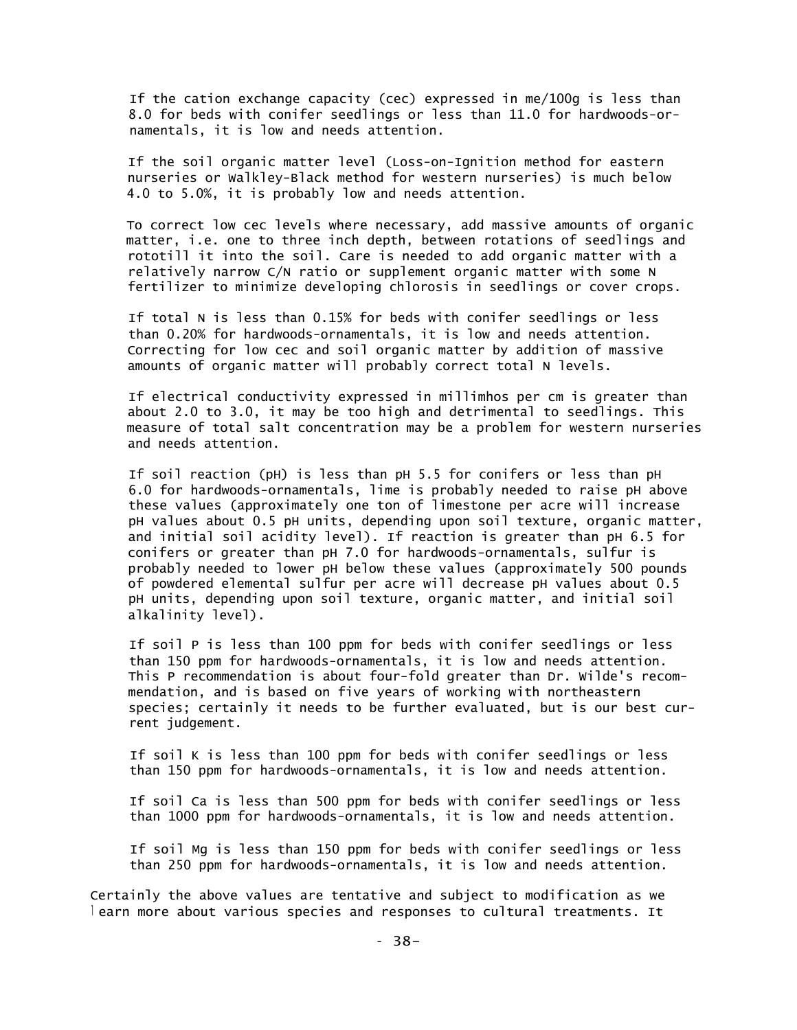If the cation exchange capacity (cec) expressed in me/100g is less than 8.0 for beds with conifer seedlings or less than 11.0 for hardwoods-ornamentals, it is low and needs attention.

If the soil organic matter level (Loss-on-Ignition method for eastern nurseries or Walkley-Black method for western nurseries) is much below 4.0 to 5.0%, it is probably low and needs attention.

To correct low cec levels where necessary, add massive amounts of organic matter, i.e. one to three inch depth, between rotations of seedlings and rototill it into the soil. Care is needed to add organic matter with a relatively narrow C/N ratio or supplement organic matter with some N fertilizer to minimize developing chlorosis in seedlings or cover crops.

If total N is less than 0.15% for beds with conifer seedlings or less than 0.20% for hardwoods-ornamentals, it is low and needs attention. Correcting for low cec and soil organic matter by addition of massive amounts of organic matter will probably correct total N levels.

If electrical conductivity expressed in millimhos per cm is greater than about 2.0 to 3.0, it may be too high and detrimental to seedlings. This measure of total salt concentration may be a problem for western nurseries and needs attention.

If soil reaction (pH) is less than pH 5.5 for conifers or less than pH 6.0 for hardwoods-ornamentals, lime is probably needed to raise pH above these values (approximately one ton of limestone per acre will increase pH values about 0.5 pH units, depending upon soil texture, organic matter, and initial soil acidity level). If reaction is greater than pH 6.5 for conifers or greater than pH 7.0 for hardwoods-ornamentals, sulfur is probably needed to lower pH below these values (approximately 500 pounds of powdered elemental sulfur per acre will decrease pH values about 0.5 pH units, depending upon soil texture, organic matter, and initial soil alkalinity level).

If soil P is less than 100 ppm for beds with conifer seedlings or less than 150 ppm for hardwoods-ornamentals, it is low and needs attention. This P recommendation is about four-fold greater than Dr. Wilde's recommendation, and is based on five years of working with northeastern species; certainly it needs to be further evaluated, but is our best current judgement.

If soil K is less than 100 ppm for beds with conifer seedlings or less than 150 ppm for hardwoods-ornamentals, it is low and needs attention.

If soil Ca is less than 500 ppm for beds with conifer seedlings or less than 1000 ppm for hardwoods-ornamentals, it is low and needs attention.

If soil Mg is less than 150 ppm for beds with conifer seedlings or less than 250 ppm for hardwoods-ornamentals, it is low and needs attention.

Certainly the above values are tentative and subject to modification as we <sup>l</sup> earn more about various species and responses to cultural treatments. It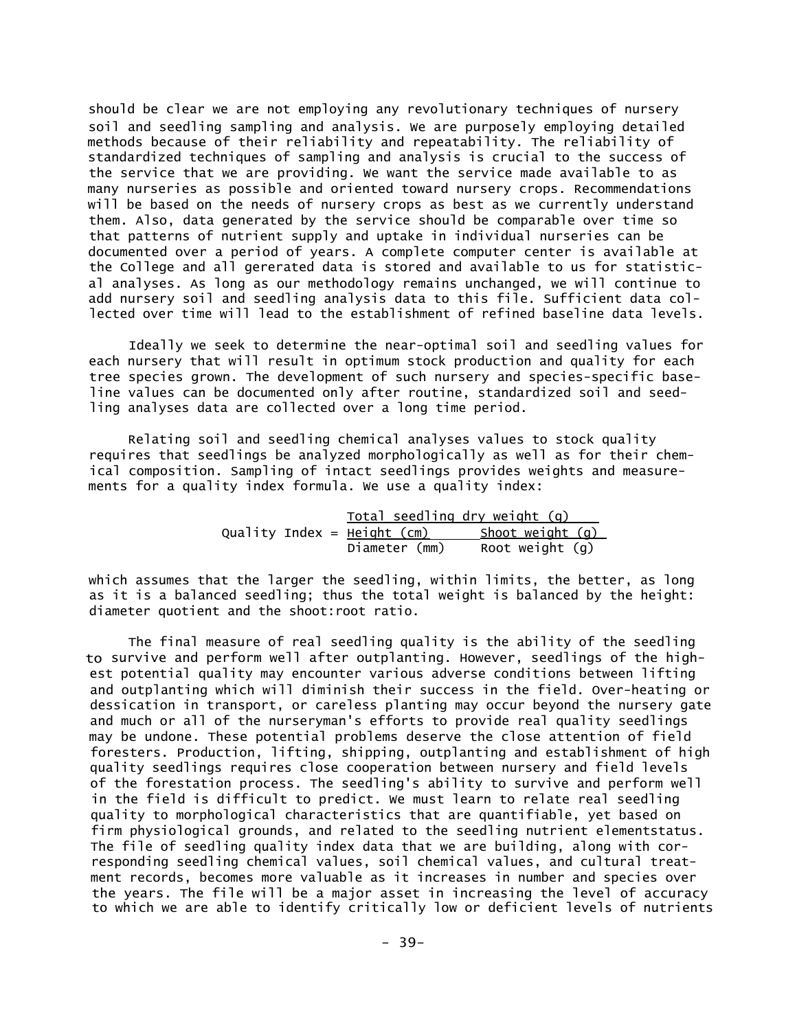should be clear we are not employing any revolutionary techniques of nursery soil and seedling sampling and analysis. We are purposely employing detailed methods because of their reliability and repeatability. The reliability of standardized techniques of sampling and analysis is crucial to the success of the service that we are providing. We want the service made available to as many nurseries as possible and oriented toward nursery crops. Recommendations will be based on the needs of nursery crops as best as we currently understand them. Also, data generated by the service should be comparable over time so that patterns of nutrient supply and uptake in individual nurseries can be documented over a period of years. A complete computer center is available at the College and all gererated data is stored and available to us for statistical analyses. As long as our methodology remains unchanged, we will continue to add nursery soil and seedling analysis data to this file. Sufficient data collected over time will lead to the establishment of refined baseline data levels.

Ideally we seek to determine the near-optimal soil and seedling values for each nursery that will result in optimum stock production and quality for each tree species grown. The development of such nursery and species-specific baseline values can be documented only after routine, standardized soil and seedling analyses data are collected over a long time period.

Relating soil and seedling chemical analyses values to stock quality requires that seedlings be analyzed morphologically as well as for their chemical composition. Sampling of intact seedlings provides weights and measurements for a quality index formula. We use a quality index:

|  |                               | <u>Total seedling dry weight (g)</u> |
|--|-------------------------------|--------------------------------------|
|  | Quality Index = $Height (cm)$ | Shoot weight $(q)$                   |
|  | Diameter (mm)                 | Root weight $(g)$                    |

which assumes that the larger the seedling, within limits, the better, as long as it is a balanced seedling; thus the total weight is balanced by the height: diameter quotient and the shoot:root ratio.

The final measure of real seedling quality is the ability of the seedling to survive and perform well after outplanting. However, seedlings of the highest potential quality may encounter various adverse conditions between lifting and outplanting which will diminish their success in the field. Over-heating or dessication in transport, or careless planting may occur beyond the nursery gate and much or all of the nurseryman's efforts to provide real quality seedlings may be undone. These potential problems deserve the close attention of field foresters. Production, lifting, shipping, outplanting and establishment of high quality seedlings requires close cooperation between nursery and field levels of the forestation process. The seedling's ability to survive and perform well in the field is difficult to predict. We must learn to relate real seedling quality to morphological characteristics that are quantifiable, yet based on firm physiological grounds, and related to the seedling nutrient elementstatus. The file of seedling quality index data that we are building, along with corresponding seedling chemical values, soil chemical values, and cultural treatment records, becomes more valuable as it increases in number and species over the years. The file will be a major asset in increasing the level of accuracy to which we are able to identify critically low or deficient levels of nutrients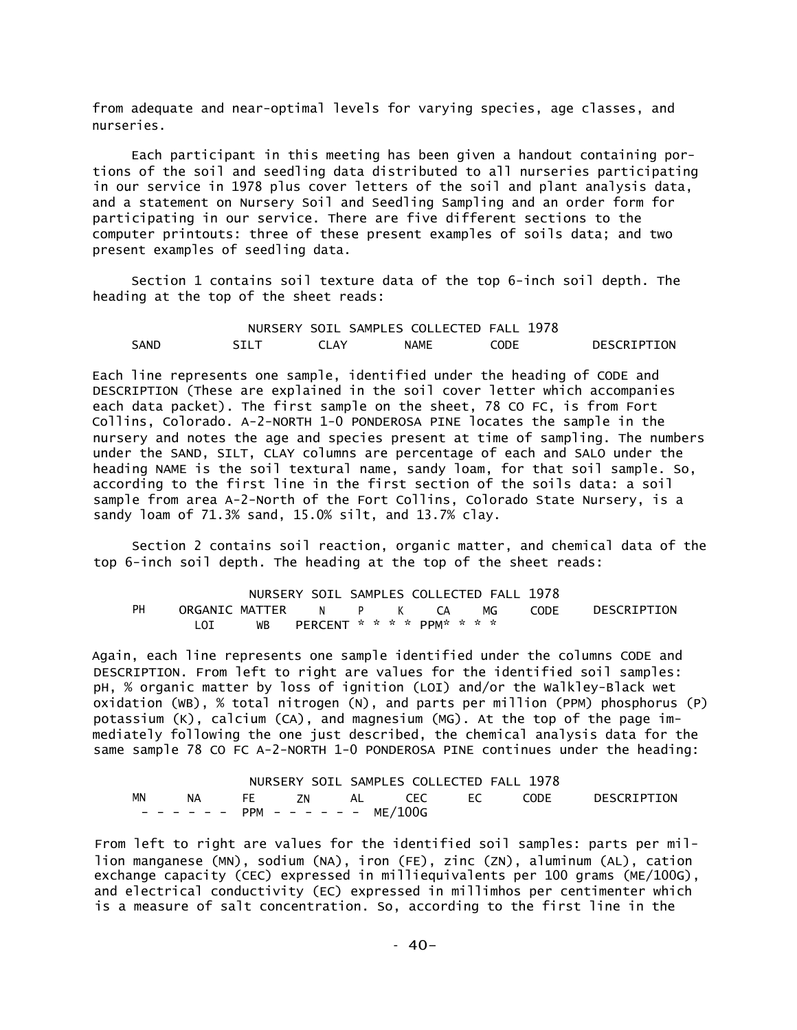from adequate and near-optimal levels for varying species, age classes, and nurseries.

Each participant in this meeting has been given a handout containing portions of the soil and seedling data distributed to all nurseries participating in our service in 1978 plus cover letters of the soil and plant analysis data, and a statement on Nursery Soil and Seedling Sampling and an order form for participating in our service. There are five different sections to the computer printouts: three of these present examples of soils data; and two present examples of seedling data.

Section 1 contains soil texture data of the top 6-inch soil depth. The heading at the top of the sheet reads:

NURSERY SOIL SAMPLES COLLECTED FALL 1978 SAND SILT CLAY NAME CODE DESCRIPTION

Each line represents one sample, identified under the heading of CODE and DESCRIPTION (These are explained in the soil cover letter which accompanies each data packet). The first sample on the sheet, 78 CO FC, is from Fort Collins, Colorado. A-2-NORTH 1-0 PONDEROSA PINE locates the sample in the nursery and notes the age and species present at time of sampling. The numbers under the SAND, SILT, CLAY columns are percentage of each and SALO under the heading NAME is the soil textural name, sandy loam, for that soil sample. So, according to the first line in the first section of the soils data: a soil sample from area A-2-North of the Fort Collins, Colorado State Nursery, is a sandy loam of 71.3% sand, 15.0% silt, and 13.7% clay.

Section 2 contains soil reaction, organic matter, and chemical data of the top 6-inch soil depth. The heading at the top of the sheet reads:

|    |                                 |                               |  | NURSERY SOIL SAMPLES COLLECTED FALL 1978 |             |
|----|---------------------------------|-------------------------------|--|------------------------------------------|-------------|
| PH | ORGANIC MATTER N P K CA MG CODE |                               |  |                                          | DESCRIPTION |
|    |                                 | WB PERCENT * * * * PPM* * * * |  |                                          |             |

Again, each line represents one sample identified under the columns CODE and DESCRIPTION. From left to right are values for the identified soil samples: pH, % organic matter by loss of ignition (LOI) and/or the Walkley-Black wet oxidation (WB), % total nitrogen (N), and parts per million (PPM) phosphorus (P) potassium (K), calcium (CA), and magnesium (MG). At the top of the page immediately following the one just described, the chemical analysis data for the same sample 78 CO FC A-2-NORTH 1-0 PONDEROSA PINE continues under the heading:

|    |  |                                     | NURSERY SOIL SAMPLES COLLECTED FALL 1978 |  |                                     |
|----|--|-------------------------------------|------------------------------------------|--|-------------------------------------|
| MN |  |                                     |                                          |  | NA FE ZN AL CEC EC CODE DESCRIPTION |
|    |  | - - - - - - PPM - - - - - - ME/100G |                                          |  |                                     |

From left to right are values for the identified soil samples: parts per million manganese (MN), sodium (NA), iron (FE), zinc (ZN), aluminum (AL), cation exchange capacity (CEC) expressed in milliequivalents per 100 grams (ME/100G), and electrical conductivity (EC) expressed in millimhos per centimenter which is a measure of salt concentration. So, according to the first line in the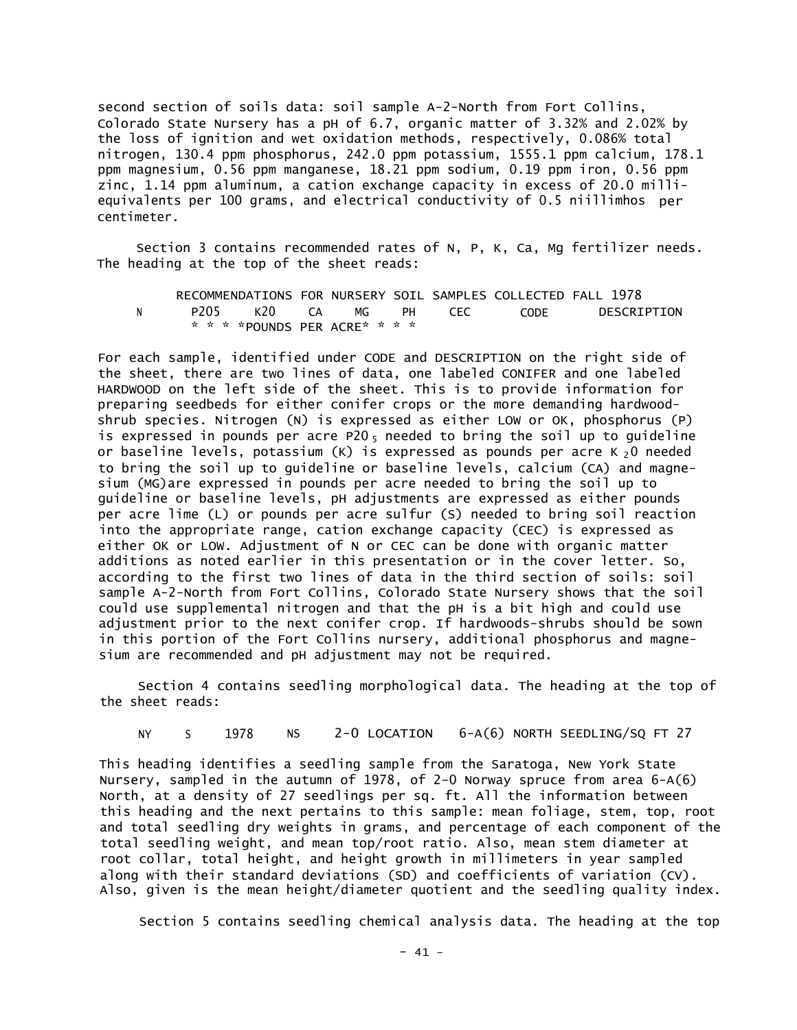second section of soils data: soil sample A-2-North from Fort Collins, Colorado State Nursery has a pH of 6.7, organic matter of 3.32% and 2.02% by the loss of ignition and wet oxidation methods, respectively, 0.086% total nitrogen, 130.4 ppm phosphorus, 242.0 ppm potassium, 1555.1 ppm calcium, 178.1 ppm magnesium, 0.56 ppm manganese, 18.21 ppm sodium, 0.19 ppm iron, 0.56 ppm zinc, 1.14 ppm aluminum, a cation exchange capacity in excess of 20.0 milliequivalents per 100 grams, and electrical conductivity of 0.5 niillimhos per centimeter.

Section 3 contains recommended rates of N, P, K, Ca, Mg fertilizer needs. The heading at the top of the sheet reads:

|  |                                |  |  | RECOMMENDATIONS FOR NURSERY SOIL SAMPLES COLLECTED FALL 1978 |             |
|--|--------------------------------|--|--|--------------------------------------------------------------|-------------|
|  | P205 K20 CA MG PH CEC          |  |  | <b>CODE</b>                                                  | DESCRIPTION |
|  | * * * * POUNDS PER ACRE* * * * |  |  |                                                              |             |

For each sample, identified under CODE and DESCRIPTION on the right side of the sheet, there are two lines of data, one labeled CONIFER and one labeled HARDWOOD on the left side of the sheet. This is to provide information for preparing seedbeds for either conifer crops or the more demanding hardwoodshrub species. Nitrogen (N) is expressed as either LOW or OK, phosphorus (P) is expressed in pounds per acre P20 $_5$  needed to bring the soil up to guideline or baseline levels, potassium  $(K)$  is expressed as pounds per acre K  $_2$ O needed to bring the soil up to guideline or baseline levels, calcium (CA) and magnesium (MG)are expressed in pounds per acre needed to bring the soil up to guideline or baseline levels, pH adjustments are expressed as either pounds per acre lime (L) or pounds per acre sulfur (S) needed to bring soil reaction into the appropriate range, cation exchange capacity (CEC) is expressed as either OK or LOW. Adjustment of N or CEC can be done with organic matter additions as noted earlier in this presentation or in the cover letter. So, according to the first two lines of data in the third section of soils: soil sample A-2-North from Fort Collins, Colorado State Nursery shows that the soil could use supplemental nitrogen and that the pH is a bit high and could use adjustment prior to the next conifer crop. If hardwoods-shrubs should be sown in this portion of the Fort Collins nursery, additional phosphorus and magnesium are recommended and pH adjustment may not be required.

Section 4 contains seedling morphological data. The heading at the top of the sheet reads:

NY S 1978 NS 2-0 LOCATION 6-A(6) NORTH SEEDLING/SQ FT 27

This heading identifies a seedling sample from the Saratoga, New York State Nursery, sampled in the autumn of 1978, of 2-0 Norway spruce from area 6-A(6) North, at a density of 27 seedlings per sq. ft. All the information between this heading and the next pertains to this sample: mean foliage, stem, top, root and total seedling dry weights in grams, and percentage of each component of the total seedling weight, and mean top/root ratio. Also, mean stem diameter at root collar, total height, and height growth in millimeters in year sampled along with their standard deviations (SD) and coefficients of variation (CV). Also, given is the mean height/diameter quotient and the seedling quality index.

Section 5 contains seedling chemical analysis data. The heading at the top